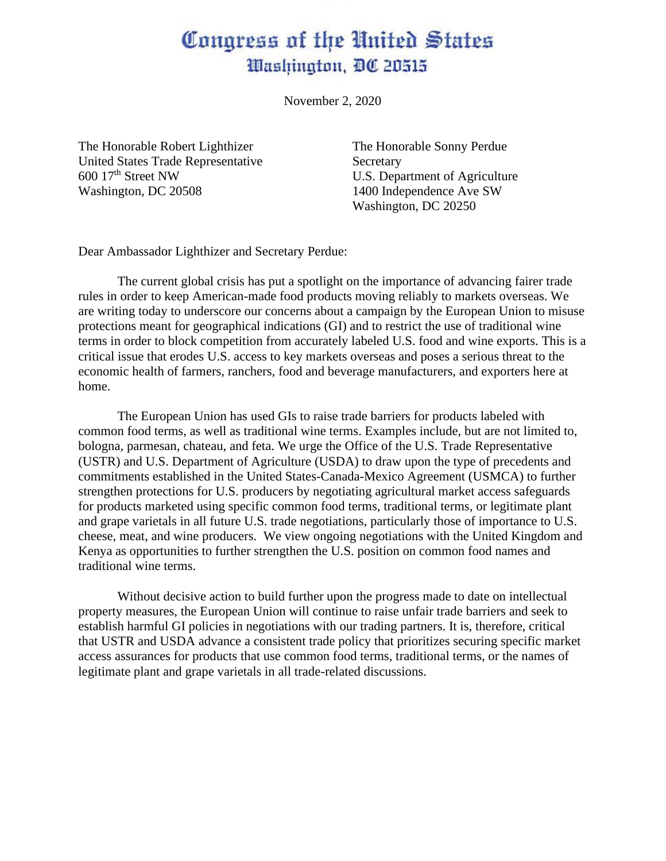## Congress of the United States Washington, DC 20515

November 2, 2020

The Honorable Robert Lighthizer The Honorable Sonny Perdue United States Trade Representative Secretary  $600 \, 17<sup>th</sup>$  Street NW U.S. Department of Agriculture Washington, DC 20508 1400 Independence Ave SW

Washington, DC 20250

Dear Ambassador Lighthizer and Secretary Perdue:

The current global crisis has put a spotlight on the importance of advancing fairer trade rules in order to keep American-made food products moving reliably to markets overseas. We are writing today to underscore our concerns about a campaign by the European Union to misuse protections meant for geographical indications (GI) and to restrict the use of traditional wine terms in order to block competition from accurately labeled U.S. food and wine exports. This is a critical issue that erodes U.S. access to key markets overseas and poses a serious threat to the economic health of farmers, ranchers, food and beverage manufacturers, and exporters here at home.

The European Union has used GIs to raise trade barriers for products labeled with common food terms, as well as traditional wine terms. Examples include, but are not limited to, bologna, parmesan, chateau, and feta. We urge the Office of the U.S. Trade Representative (USTR) and U.S. Department of Agriculture (USDA) to draw upon the type of precedents and commitments established in the United States-Canada-Mexico Agreement (USMCA) to further strengthen protections for U.S. producers by negotiating agricultural market access safeguards for products marketed using specific common food terms, traditional terms, or legitimate plant and grape varietals in all future U.S. trade negotiations, particularly those of importance to U.S. cheese, meat, and wine producers. We view ongoing negotiations with the United Kingdom and Kenya as opportunities to further strengthen the U.S. position on common food names and traditional wine terms.

Without decisive action to build further upon the progress made to date on intellectual property measures, the European Union will continue to raise unfair trade barriers and seek to establish harmful GI policies in negotiations with our trading partners. It is, therefore, critical that USTR and USDA advance a consistent trade policy that prioritizes securing specific market access assurances for products that use common food terms, traditional terms, or the names of legitimate plant and grape varietals in all trade-related discussions.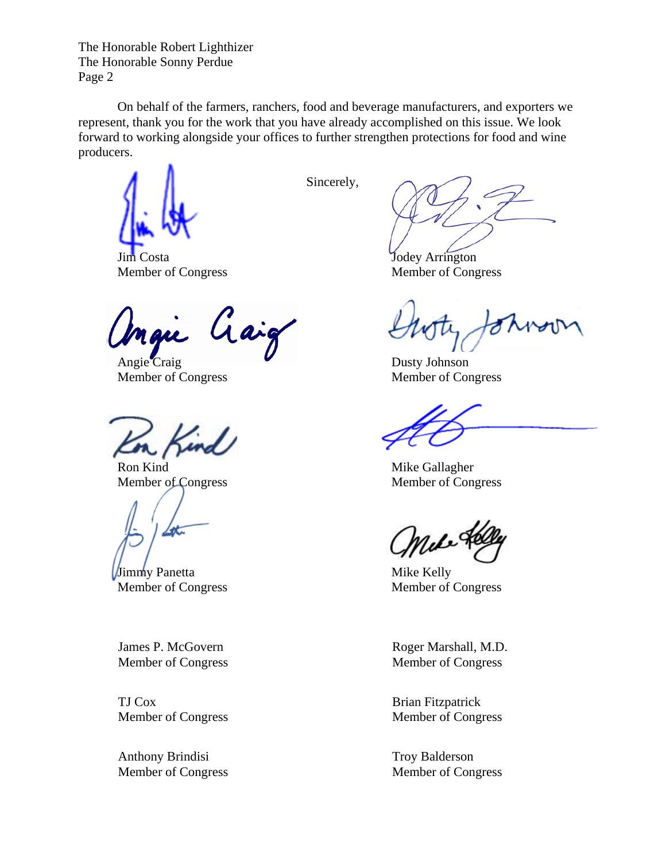On behalf of the farmers, ranchers, food and beverage manufacturers, and exporters we represent, thank you for the work that you have already accomplished on this issue. We look forward to working alongside your offices to further strengthen protections for food and wine producers.

Jodey Arrington

Gaig nau

Angie Craig Dusty Johnson

find

Member of Congress Member of Congress

Jimmy Panetta Mike Kelly

James P. McGovern Member of Congress

TJ Cox Member of Congress

Anthony Brindisi Member of Congress Sincerely,

Member of Congress Member of Congress

Member of Congress Member of Congress

Ron Kind Mike Gallagher

Member of Congress Member of Congress

Roger Marshall, M.D. Member of Congress

Brian Fitzpatrick Member of Congress

Troy Balderson Member of Congress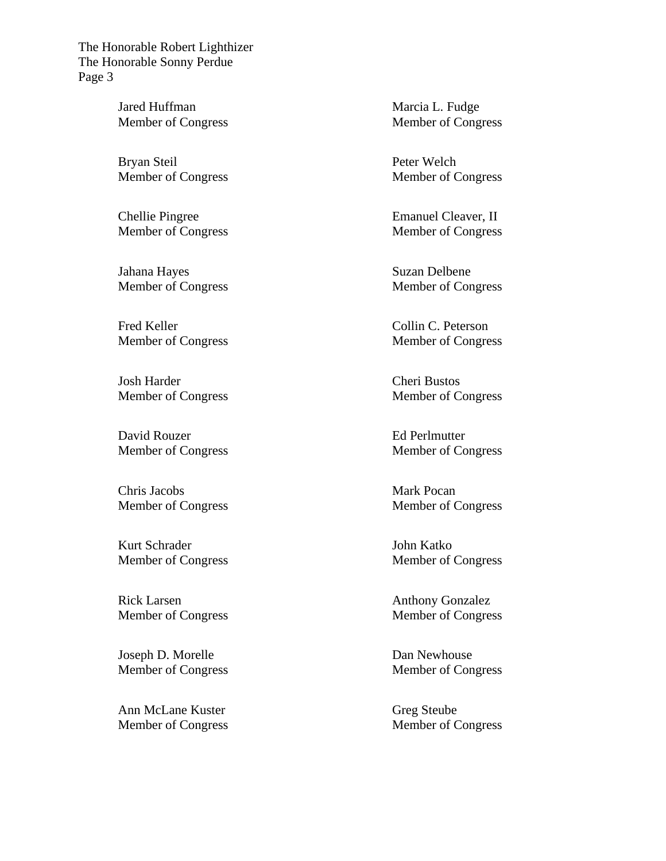> Jared Huffman Member of Congress

> Bryan Steil Member of Congress

> Chellie Pingree Member of Congress

> Jahana Hayes Member of Congress

> Fred Keller Member of Congress

> Josh Harder Member of Congress

> David Rouzer Member of Congress

> Chris Jacobs Member of Congress

> Kurt Schrader Member of Congress

> Rick Larsen Member of Congress

> Joseph D. Morelle Member of Congress

> Ann McLane Kuster Member of Congress

Marcia L. Fudge Member of Congress

Peter Welch Member of Congress

Emanuel Cleaver, II Member of Congress

Suzan Delbene Member of Congress

Collin C. Peterson Member of Congress

Cheri Bustos Member of Congress

Ed Perlmutter Member of Congress

Mark Pocan Member of Congress

John Katko Member of Congress

Anthony Gonzalez Member of Congress

Dan Newhouse Member of Congress

Greg Steube Member of Congress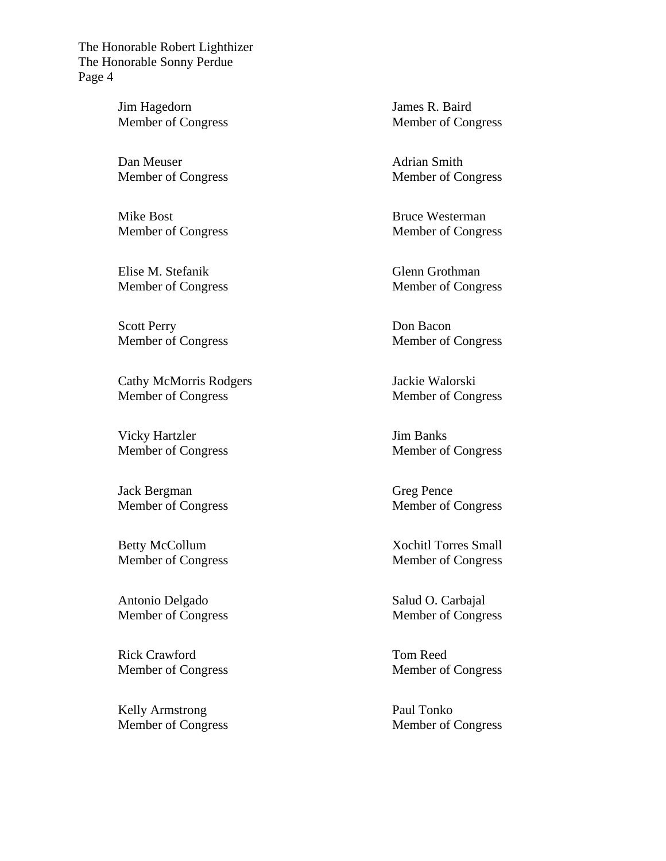> Jim Hagedorn Member of Congress

> Dan Meuser Member of Congress

> Mike Bost Member of Congress

> Elise M. Stefanik Member of Congress

> Scott Perry Member of Congress

Cathy McMorris Rodgers Member of Congress

Vicky Hartzler Member of Congress

Jack Bergman Member of Congress

Betty McCollum Member of Congress

Antonio Delgado Member of Congress

Rick Crawford Member of Congress

Kelly Armstrong Member of Congress James R. Baird Member of Congress

Adrian Smith Member of Congress

Bruce Westerman Member of Congress

Glenn Grothman Member of Congress

Don Bacon Member of Congress

Jackie Walorski Member of Congress

Jim Banks Member of Congress

Greg Pence Member of Congress

Xochitl Torres Small Member of Congress

Salud O. Carbajal Member of Congress

Tom Reed Member of Congress

Paul Tonko Member of Congress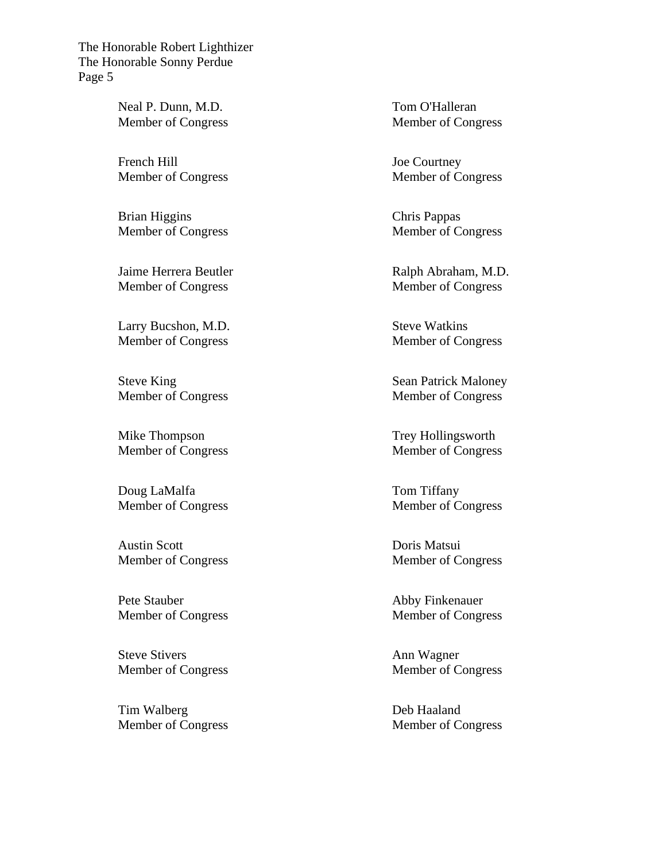> Neal P. Dunn, M.D. Member of Congress

> French Hill Member of Congress

> Brian Higgins Member of Congress

Jaime Herrera Beutler Member of Congress

Larry Bucshon, M.D. Member of Congress

Steve King Member of Congress

Mike Thompson Member of Congress

Doug LaMalfa Member of Congress

Austin Scott Member of Congress

Pete Stauber Member of Congress

Steve Stivers Member of Congress

Tim Walberg Member of Congress Tom O'Halleran Member of Congress

Joe Courtney Member of Congress

Chris Pappas Member of Congress

Ralph Abraham, M.D. Member of Congress

Steve Watkins Member of Congress

Sean Patrick Maloney Member of Congress

Trey Hollingsworth Member of Congress

Tom Tiffany Member of Congress

Doris Matsui Member of Congress

Abby Finkenauer Member of Congress

Ann Wagner Member of Congress

Deb Haaland Member of Congress